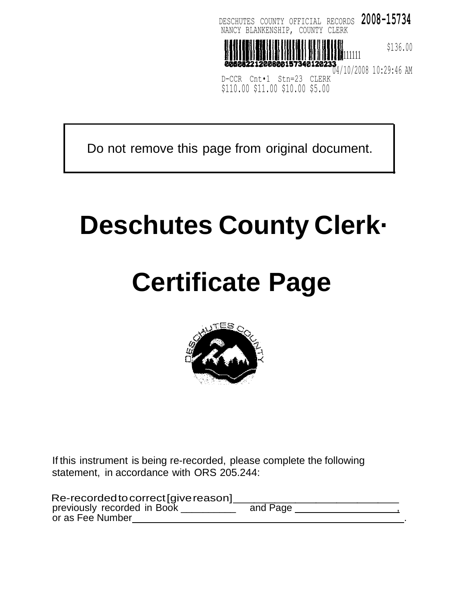

Do not remove this page from original document.

# **Deschutes County Clerk·**

# **Certificate Page**



If this instrument is being re-recorded, please complete the following statement, in accordance with ORS 205.244:

| statement, in accordance with ORS 205.244.                                              |          |  |
|-----------------------------------------------------------------------------------------|----------|--|
| Re-recorded to correct [give reason]<br>previously recorded in Book<br>or as Fee Number | and Page |  |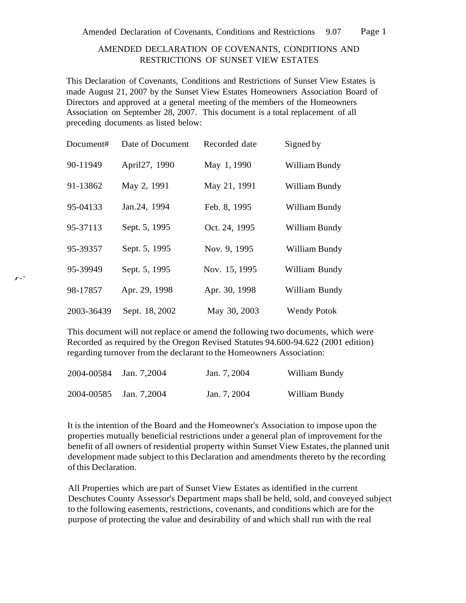## AMENDED DECLARATION OF COVENANTS, CONDITIONS AND RESTRICTIONS OF SUNSET VIEW ESTATES

This Declaration of Covenants, Conditions and Restrictions of Sunset View Estates is made August 21, 2007 by the Sunset View Estates Homeowners Association Board of Directors and approved at a general meeting of the members of the Homeowners Association on September 28, 2007. This document is a total replacement of all preceding documents as listed below:

| Document#  | Date of Document | Recorded date | Signed by          |
|------------|------------------|---------------|--------------------|
| 90-11949   | April27, 1990    | May 1, 1990   | William Bundy      |
| 91-13862   | May 2, 1991      | May 21, 1991  | William Bundy      |
| 95-04133   | Jan.24, 1994     | Feb. 8, 1995  | William Bundy      |
| 95-37113   | Sept. 5, 1995    | Oct. 24, 1995 | William Bundy      |
| 95-39357   | Sept. 5, 1995    | Nov. 9, 1995  | William Bundy      |
| 95-39949   | Sept. 5, 1995    | Nov. 15, 1995 | William Bundy      |
| 98-17857   | Apr. 29, 1998    | Apr. 30, 1998 | William Bundy      |
| 2003-36439 | Sept. 18, 2002   | May 30, 2003  | <b>Wendy Potok</b> |

This document will not replace or amend the following two documents, which were Recorded as required by the Oregon Revised Statutes 94.600-94.622 (2001 edition) regarding turnover from the declarant to the Homeowners Association:

| 2004-00584 Jan. 7,2004 | Jan. 7, 2004 | William Bundy |
|------------------------|--------------|---------------|
| 2004-00585 Jan. 7,2004 | Jan. 7, 2004 | William Bundy |

It is the intention of the Board and the Homeowner's Association to impose upon the properties mutually beneficial restrictions under a general plan of improvement for the benefit of all owners of residential property within Sunset View Estates, the planned unit development made subject to this Declaration and amendments thereto by the recording ofthis Declaration.

All Properties which are part of Sunset View Estates as identified in the current Deschutes County Assessor's Department maps shall be held, sold, and conveyed subject to the following easements, restrictions, covenants, and conditions which are for the purpose of protecting the value and desirability of and which shall run with the real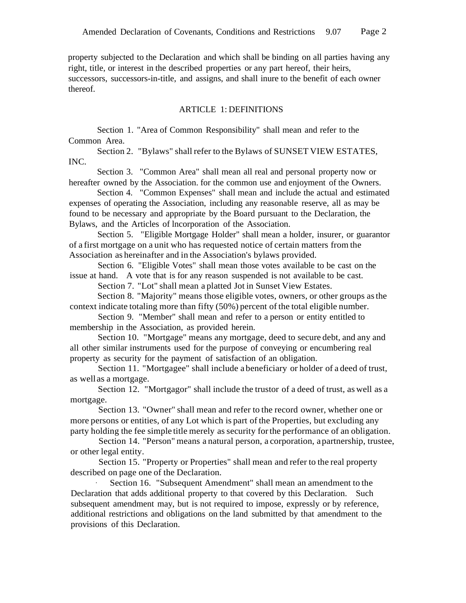property subjected to the Declaration and which shall be binding on all parties having any right, title, or interest in the described properties or any part hereof, their heirs, successors, successors-in-title, and assigns, and shall inure to the benefit of each owner thereof.

### ARTICLE 1: DEFINITIONS

Section 1. "Area of Common Responsibility" shall mean and refer to the Common Area.

Section 2. "Bylaws" shall refer to the Bylaws of SUNSET VIEW ESTATES, INC.

Section 3. "Common Area" shall mean all real and personal property now or hereafter owned by the Association. for the common use and enjoyment of the Owners.

Section 4. "Common Expenses" shall mean and include the actual and estimated expenses of operating the Association, including any reasonable reserve, all as may be found to be necessary and appropriate by the Board pursuant to the Declaration, the Bylaws, and the Articles of lncorporation of the Association.

Section 5. "Eligible Mortgage Holder" shall mean a holder, insurer, or guarantor of a first mortgage on a unit who has requested notice of certain matters from the Association as hereinafter and in the Association's bylaws provided.

Section 6. "Eligible Votes" shall mean those votes available to be cast on the issue at hand. A vote that is for any reason suspended is not available to be cast.

Section 7. "Lot" shall mean a platted Jot in Sunset View Estates.

Section 8. "Majority" means those eligible votes, owners, or other groups asthe context indicate totaling more than fifty (50%) percent of the total eligible number.

Section 9. "Member" shall mean and refer to a person or entity entitled to membership in the Association, as provided herein.

Section 10. "Mortgage" means any mortgage, deed to secure debt, and any and all other similar instruments used for the purpose of conveying or encumbering real property as security for the payment of satisfaction of an obligation.

Section 11. "Mortgagee" shall include a beneficiary or holder of a deed of trust, as wellas a mortgage.

Section 12. "Mortgagor" shall include the trustor of a deed of trust, as well as a mortgage.

Section 13. "Owner" shall mean and refer to the record owner, whether one or more persons or entities, of any Lot which is part of the Properties, but excluding any party holding the fee simple title merely as security forthe performance of an obligation.

Section 14. "Person" means a natural person, a corporation, apartnership, trustee, or other legal entity.

Section 15. "Property or Properties" shall mean and refer to the real property described on page one of the Declaration.

Section 16. "Subsequent Amendment" shall mean an amendment to the Declaration that adds additional property to that covered by this Declaration. Such subsequent amendment may, but is not required to impose, expressly or by reference, additional restrictions and obligations on the land submitted by that amendment to the provisions of this Declaration.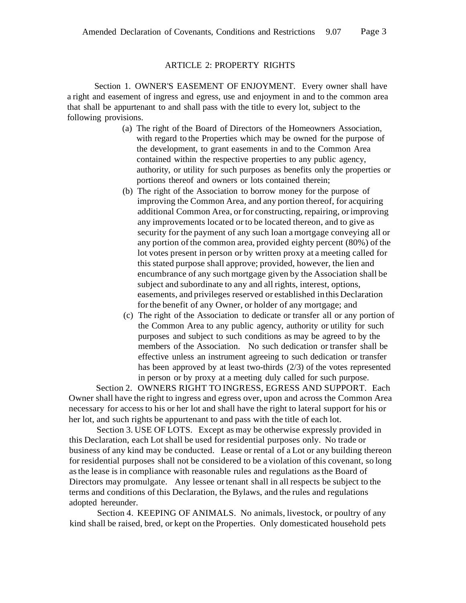## ARTICLE 2: PROPERTY RIGHTS

Section 1. OWNER'S EASEMENT OF ENJOYMENT. Every owner shall have a right and easement of ingress and egress, use and enjoyment in and to the common area that shall be appurtenant to and shall pass with the title to every lot, subject to the following provisions.

- (a) The right of the Board of Directors of the Homeowners Association, with regard to the Properties which may be owned for the purpose of the development, to grant easements in and to the Common Area contained within the respective properties to any public agency, authority, or utility for such purposes as benefits only the properties or portions thereof and owners or lots contained therein;
- (b) The right of the Association to borrow money for the purpose of improving the Common Area, and any portion thereof, for acquiring additional Common Area, or for constructing, repairing, or improving any improvements located or to be located thereon, and to give as security for the payment of any such loan amortgage conveying all or any portion of the common area, provided eighty percent (80%) of the lot votes present in person or by written proxy at a meeting called for this stated purpose shall approve; provided, however, the lien and encumbrance of any such mortgage given by the Association shall be subject and subordinate to any and all rights, interest, options, easements, and privileges reserved or established in this Declaration forthe benefit of any Owner, or holder of any mortgage; and
- (c) The right of the Association to dedicate or transfer all or any portion of the Common Area to any public agency, authority or utility for such purposes and subject to such conditions as may be agreed to by the members of the Association. No such dedication or transfer shall be effective unless an instrument agreeing to such dedication or transfer has been approved by at least two-thirds (2/3) of the votes represented in person or by proxy at a meeting duly called for such purpose.

Section 2. OWNERS RIGHT TO INGRESS, EGRESS AND SUPPORT. Each Owner shall have the right to ingress and egress over, upon and across the Common Area necessary for accessto his or her lot and shall have the right to lateral support for his or her lot, and such rights be appurtenant to and pass with the title of each lot.

Section 3. USE OF LOTS. Except as may be otherwise expressly provided in this Declaration, each Lot shall be used for residential purposes only. No trade or business of any kind may be conducted. Lease or rental of a Lot or any building thereon for residential purposes shall not be considered to be a violation of this covenant, so long asthe lease is in compliance with reasonable rules and regulations asthe Board of Directors may promulgate. Any lessee ortenant shall in all respects be subject to the terms and conditions of this Declaration, the Bylaws, and the rules and regulations adopted hereunder.

Section 4. KEEPING OF ANIMALS. No animals, livestock, or poultry of any kind shall be raised, bred, or kept on the Properties. Only domesticated household pets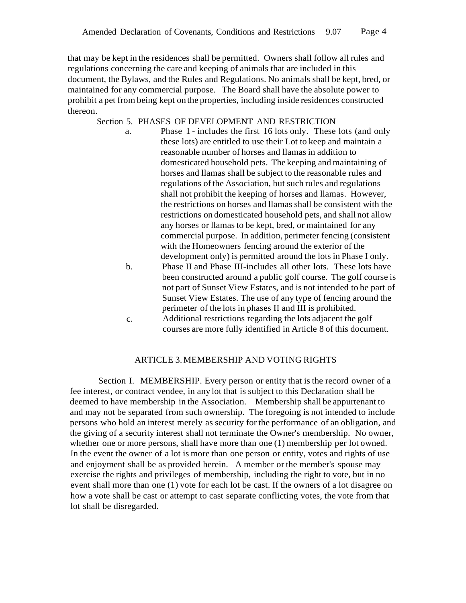that may be kept in the residences shall be permitted. Owners shall follow all rules and regulations concerning the care and keeping of animals that are included in this document, the Bylaws, and the Rules and Regulations. No animals shall be kept, bred, or maintained for any commercial purpose. The Board shall have the absolute power to prohibit a pet from being kept on the properties, including inside residences constructed thereon.

## Section 5. PHASES OF DEVELOPMENT AND RESTRICTION

- a. Phase 1 includes the first 16 lots only. These lots (and only these lots) are entitled to use their Lot to keep and maintain a reasonable number of horses and llamas in addition to domesticated household pets. The keeping and maintaining of horses and llamas shall be subject to the reasonable rules and regulations ofthe Association, but such rules and regulations shall not prohibit the keeping of horses and llamas. However, the restrictions on horses and llamas shall be consistent with the restrictions on domesticated household pets, and shall not allow any horses or llamas to be kept, bred, or maintained for any commercial purpose. In addition, perimeter fencing (consistent with the Homeowners fencing around the exterior of the development only) is permitted around the lots in Phase I only.
	- b. Phase II and Phase III-includes all other lots. These lots have been constructed around a public golf course. The golf course is not part of Sunset View Estates, and is not intended to be part of Sunset View Estates. The use of any type of fencing around the perimeter of the lots in phases II and III is prohibited.
	- c. Additional restrictions regarding the lots adjacent the golf courses are more fully identified in Article 8 of this document.

### ARTICLE 3.MEMBERSHIP AND VOTING RIGHTS

Section I. MEMBERSHIP. Every person or entity that is the record owner of a fee interest, or contract vendee, in any lot that is subject to this Declaration shall be deemed to have membership in the Association. Membership shall be appurtenant to and may not be separated from such ownership. The foregoing is not intended to include persons who hold an interest merely as security for the performance of an obligation, and the giving of a security interest shall not terminate the Owner's membership. No owner, whether one or more persons, shall have more than one (1) membership per lot owned. In the event the owner of a lot is more than one person or entity, votes and rights of use and enjoyment shall be as provided herein. A member or the member's spouse may exercise the rights and privileges of membership, including the right to vote, but in no event shall more than one (1) vote for each lot be cast. If the owners of a lot disagree on how a vote shall be cast or attempt to cast separate conflicting votes, the vote from that lot shall be disregarded.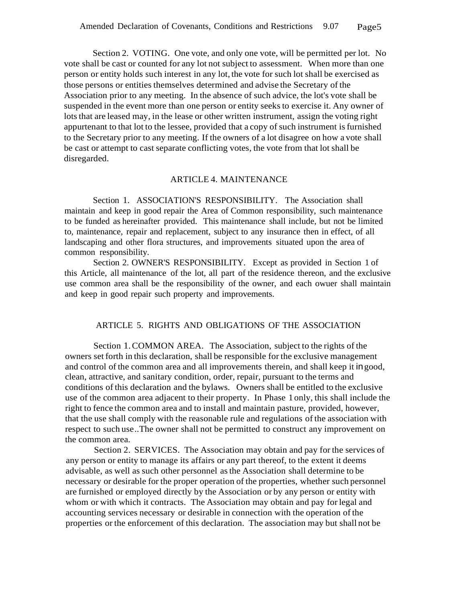Section 2. VOTING. One vote, and only one vote, will be permitted per lot. No vote shall be cast or counted for any lot not subject to assessment. When more than one person or entity holds such interest in any lot, the vote for such lot shall be exercised as those persons or entities themselves determined and advise the Secretary of the Association prior to any meeting. In the absence of such advice, the lot's vote shall be suspended in the event more than one person or entity seeks to exercise it. Any owner of lots that are leased may, in the lease or other written instrument, assign the voting right appurtenant to that lot to the lessee, provided that a copy of such instrument isfurnished to the Secretary prior to any meeting. If the owners of a lot disagree on how a vote shall be cast or attempt to cast separate conflicting votes, the vote from that lot shall be disregarded.

#### ARTICLE 4. MAINTENANCE

Section 1. ASSOCIATION'S RESPONSIBILITY. The Association shall maintain and keep in good repair the Area of Common responsibility, such maintenance to be funded as hereinafter provided. This maintenance shall include, but not be limited to, maintenance, repair and replacement, subject to any insurance then in effect, of all landscaping and other flora structures, and improvements situated upon the area of common responsibility.

Section 2. OWNER'S RESPONSIBILITY. Except as provided in Section 1 of this Article, all maintenance of the lot, all part of the residence thereon, and the exclusive use common area shall be the responsibility of the owner, and each owuer shall maintain and keep in good repair such property and improvements.

## ARTICLE 5. RIGHTS AND OBLIGATIONS OF THE ASSOCIATION

Section 1.COMMON AREA. The Association, subject to the rights of the owners set forth in this declaration, shall be responsible for the exclusive management and control of the common area and all improvements therein, and shall keep it ingood, clean, attractive, and sanitary condition, order, repair, pursuant to the terms and conditions of this declaration and the bylaws. Owners shall be entitled to the exclusive use of the common area adjacent to their property. In Phase 1 only, this shall include the right to fence the common area and to install and maintain pasture, provided, however, that the use shall comply with the reasonable rule and regulations of the association with respect to such use..The owner shall not be permitted to construct any improvement on the common area.

Section 2. SERVICES. The Association may obtain and pay for the services of any person or entity to manage its affairs or any part thereof, to the extent it deems advisable, as well as such other personnel asthe Association shall determine to be necessary or desirable for the proper operation of the properties, whether such personnel are furnished or employed directly by the Association or by any person or entity with whom or with which it contracts. The Association may obtain and pay for legal and accounting services necessary or desirable in connection with the operation of the properties or the enforcement of this declaration. The association may but shall not be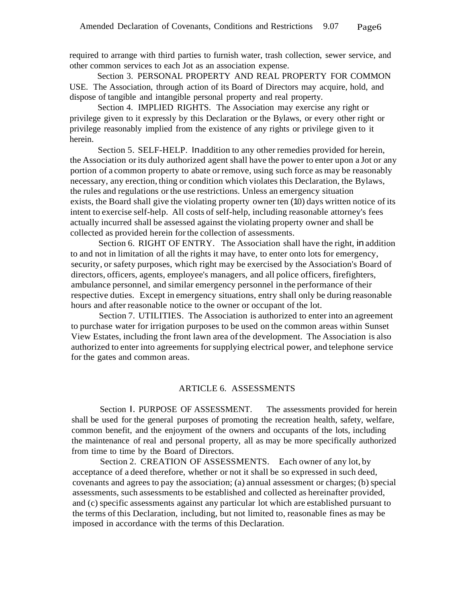required to arrange with third parties to furnish water, trash collection, sewer service, and other common services to each Jot as an association expense.

Section 3. PERSONAL PROPERTY AND REAL PROPERTY FOR COMMON USE. The Association, through action of its Board of Directors may acquire, hold, and dispose of tangible and intangible personal property and real property.

Section 4. IMPLIED RIGHTS. The Association may exercise any right or privilege given to it expressly by this Declaration or the Bylaws, or every other right or privilege reasonably implied from the existence of any rights or privilege given to it herein.

Section 5. SELF-HELP. Inaddition to any other remedies provided for herein, the Association or its duly authorized agent shall have the power to enter upon a Jot or any portion of a common property to abate orremove, using such force as may be reasonably necessary, any erection, thing or condition which violates this Declaration, the Bylaws, the rules and regulations orthe use restrictions. Unless an emergency situation exists, the Board shall give the violating property owner ten (10) days written notice of its intent to exercise self-help. All costs of self-help, including reasonable attorney's fees actually incurred shall be assessed against the violating property owner and shall be collected as provided herein forthe collection of assessments.

Section 6. RIGHT OF ENTRY. The Association shall have the right, in addition to and not in limitation of all the rights it may have, to enter onto lots for emergency, security, or safety purposes, which right may be exercised by the Association's Board of directors, officers, agents, employee's managers, and all police officers, firefighters, ambulance personnel, and similar emergency personnel in the performance of their respective duties. Except in emergency situations, entry shall only be during reasonable hours and after reasonable notice to the owner or occupant of the lot.

Section 7. UTILITIES. The Association is authorized to enter into an agreement to purchase water for irrigation purposes to be used on the common areas within Sunset View Estates, including the front lawn area ofthe development. The Association is also authorized to enter into agreements forsupplying electrical power, and telephone service for the gates and common areas.

## ARTICLE 6. ASSESSMENTS

Section I. PURPOSE OF ASSESSMENT. The assessments provided for herein shall be used for the general purposes of promoting the recreation health, safety, welfare, common benefit, and the enjoyment of the owners and occupants of the lots, including the maintenance of real and personal property, all as may be more specifically authorized from time to time by the Board of Directors.

Section 2. CREATION OF ASSESSMENTS. Each owner of any lot, by acceptance of a deed therefore, whether or not it shall be so expressed in such deed, covenants and agrees to pay the association; (a) annual assessment or charges; (b) special assessments, such assessments to be established and collected as hereinafter provided, and (c) specific assessments against any particular lot which are established pursuant to the terms of this Declaration, including, but not limited to, reasonable fines as may be imposed in accordance with the terms of this Declaration.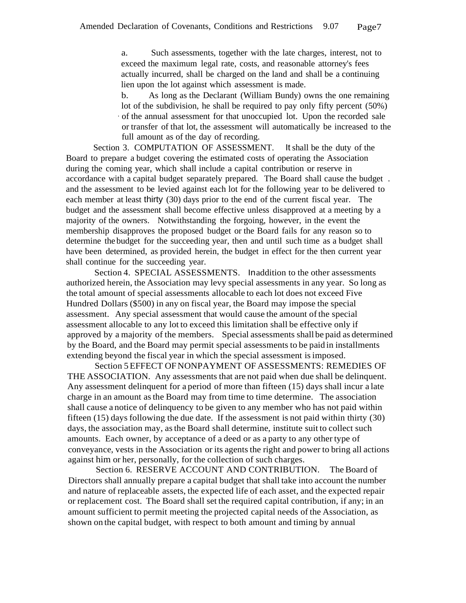a. Such assessments, together with the late charges, interest, not to exceed the maximum legal rate, costs, and reasonable attorney's fees actually incurred, shall be charged on the land and shall be a continuing lien upon the lot against which assessment is made.

b. As long as the Declarant (William Bundy) owns the one remaining lot of the subdivision, he shall be required to pay only fifty percent (50%) · of the annual assessment for that unoccupied lot. Upon the recorded sale or transfer of that lot, the assessment will automatically be increased to the full amount as of the day of recording.

Section 3. COMPUTATION OF ASSESSMENT. It shall be the duty of the Board to prepare a budget covering the estimated costs of operating the Association during the coming year, which shall include a capital contribution or reserve in accordance with a capital budget separately prepared. The Board shall cause the budget . and the assessment to be levied against each lot for the following year to be delivered to each member at least thirty (30) days prior to the end of the current fiscal year. The budget and the assessment shall become effective unless disapproved at a meeting by a majority of the owners. Notwithstanding the forgoing, however, in the event the membership disapproves the proposed budget or the Board fails for any reason so to determine the budget for the succeeding year, then and until such time as a budget shall have been determined, as provided herein, the budget in effect for the then current year shall continue for the succeeding year.

Section 4. SPECIAL ASSESSMENTS. Inaddition to the other assessments authorized herein, the Association may levy special assessments in any year. So long as the total amount of special assessments allocable to each lot does not exceed Five Hundred Dollars (\$500) in any on fiscal year, the Board may impose the special assessment. Any special assessment that would cause the amount of the special assessment allocable to any lot to exceed this limitation shall be effective only if approved by a majority of the members. Special assessments shall be paid as determined by the Board, and the Board may permit special assessments to be paid in installments extending beyond the fiscal year in which the special assessment isimposed.

Section 5EFFECT OFNONPAYMENT OF ASSESSMENTS: REMEDIES OF THE ASSOCIATION. Any assessments that are not paid when due shall be delinquent. Any assessment delinquent for a period of more than fifteen (15) days shall incur a late charge in an amount asthe Board may from time to time determine. The association shall cause a notice of delinquency to be given to any member who has not paid within fifteen (15) days following the due date. If the assessment is not paid within thirty (30) days, the association may, asthe Board shall determine, institute suit to collect such amounts. Each owner, by acceptance of a deed or as a party to any other type of conveyance, vests in the Association or its agents the right and power to bring all actions against him or her, personally, for the collection of such charges.

Section 6. RESERVE ACCOUNT AND CONTRIBUTION. The Board of Directors shall annually prepare a capital budget that shall take into account the number and nature of replaceable assets, the expected life of each asset, and the expected repair or replacement cost. The Board shall set the required capital contribution, if any; in an amount sufficient to permit meeting the projected capital needs of the Association, as shown on the capital budget, with respect to both amount and timing by annual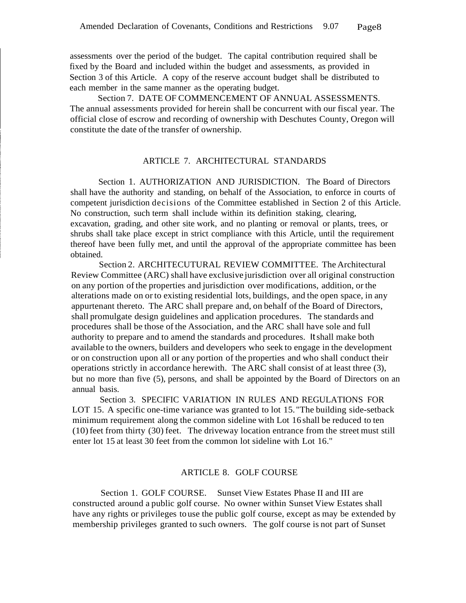assessments over the period of the budget. The capital contribution required shall be fixed by the Board and included within the budget and assessments, as provided in Section 3 of this Article. A copy of the reserve account budget shall be distributed to each member in the same manner as the operating budget.

Section 7. DATE OF COMMENCEMENT OF ANNUAL ASSESSMENTS. The annual assessments provided for herein shall be concurrent with our fiscal year. The official close of escrow and recording of ownership with Deschutes County, Oregon will constitute the date of the transfer of ownership.

#### ARTICLE 7. ARCHITECTURAL STANDARDS

Section 1. AUTHORIZATION AND JURISDICTION. The Board of Directors shall have the authority and standing, on behalf of the Association, to enforce in courts of competent jurisdiction decisions of the Committee established in Section 2 of this Article. No construction, such term shall include within its definition staking, clearing, excavation, grading, and other site work, and no planting or removal or plants, trees, or shrubs shall take place except in strict compliance with this Article, until the requirement thereof have been fully met, and until the approval of the appropriate committee has been obtained.

Section 2. ARCHITECUTURAL REVIEW COMMITTEE. The Architectural Review Committee (ARC) shall have exclusive jurisdiction over all original construction on any portion ofthe properties and jurisdiction over modifications, addition, or the alterations made on or to existing residential lots, buildings, and the open space, in any appurtenant thereto. The ARC shall prepare and, on behalf of the Board of Directors, shall promulgate design guidelines and application procedures. The standards and procedures shall be those of the Association, and the ARC shall have sole and full authority to prepare and to amend the standards and procedures. Itshall make both available to the owners, builders and developers who seek to engage in the development or on construction upon all or any portion of the properties and who shall conduct their operations strictly in accordance herewith. The ARC shall consist of at least three (3), but no more than five (5), persons, and shall be appointed by the Board of Directors on an annual basis.

Section 3. SPECIFIC VARIATION IN RULES AND REGULATIONS FOR LOT 15. A specific one-time variance was granted to lot 15. "The building side-setback minimum requirement along the common sideline with Lot 16 shall be reduced to ten (10)feet from thirty (30) feet. The driveway location entrance from the street must still enter lot 15 at least 30 feet from the common lot sideline with Lot 16."

#### ARTICLE 8. GOLF COURSE

Section 1. GOLF COURSE. Sunset View Estates Phase II and III are constructed around a public golf course. No owner within Sunset View Estates shall have any rights or privileges touse the public golf course, except as may be extended by membership privileges granted to such owners. The golf course is not part of Sunset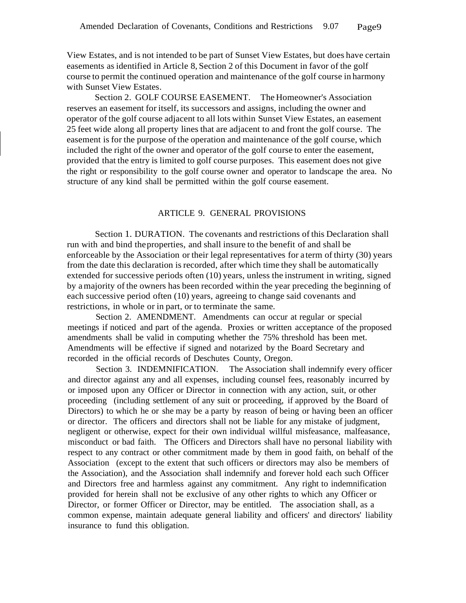View Estates, and is not intended to be part of Sunset View Estates, but does have certain easements as identified in Article 8, Section 2 of this Document in favor of the golf course to permit the continued operation and maintenance of the golf course in harmony with Sunset View Estates.

Section 2. GOLF COURSE EASEMENT. The Homeowner's Association reserves an easement for itself, its successors and assigns, including the owner and operator ofthe golf course adjacent to all lots within Sunset View Estates, an easement 25 feet wide along all property lines that are adjacent to and front the golf course. The easement is for the purpose of the operation and maintenance of the golf course, which included the right of the owner and operator of the golf course to enter the easement, provided that the entry is limited to golf course purposes. This easement does not give the right or responsibility to the golf course owner and operator to landscape the area. No structure of any kind shall be permitted within the golf course easement.

#### ARTICLE 9. GENERAL PROVISIONS

Section 1. DURATION. The covenants and restrictions of this Declaration shall run with and bind theproperties, and shall insure to the benefit of and shall be enforceable by the Association or their legal representatives for a term of thirty (30) years from the date this declaration is recorded, after which time they shall be automatically extended for successive periods often (10) years, unless the instrument in writing, signed by amajority ofthe owners has been recorded within the year preceding the beginning of each successive period often (10) years, agreeing to change said covenants and restrictions, in whole or in part, or to terminate the same.

Section 2. AMENDMENT. Amendments can occur at regular or special meetings if noticed and part of the agenda. Proxies or written acceptance of the proposed amendments shall be valid in computing whether the 75% threshold has been met. Amendments will be effective if signed and notarized by the Board Secretary and recorded in the official records of Deschutes County, Oregon.

Section 3. INDEMNIFICATION. The Association shall indemnify every officer and director against any and all expenses, including counsel fees, reasonably incurred by or imposed upon any Officer or Director in connection with any action, suit, or other proceeding (including settlement of any suit or proceeding, if approved by the Board of Directors) to which he or she may be a party by reason of being or having been an officer or director. The officers and directors shall not be liable for any mistake of judgment, negligent or otherwise, expect for their own individual willful misfeasance, malfeasance, misconduct or bad faith. The Officers and Directors shall have no personal liability with respect to any contract or other commitment made by them in good faith, on behalf of the Association (except to the extent that such officers or directors may also be members of the Association), and the Association shall indemnify and forever hold each such Officer and Directors free and harmless against any commitment. Any right to indemnification provided for herein shall not be exclusive of any other rights to which any Officer or Director, or former Officer or Director, may be entitled. The association shall, as a common expense, maintain adequate general liability and officers' and directors' liability insurance to fund this obligation.